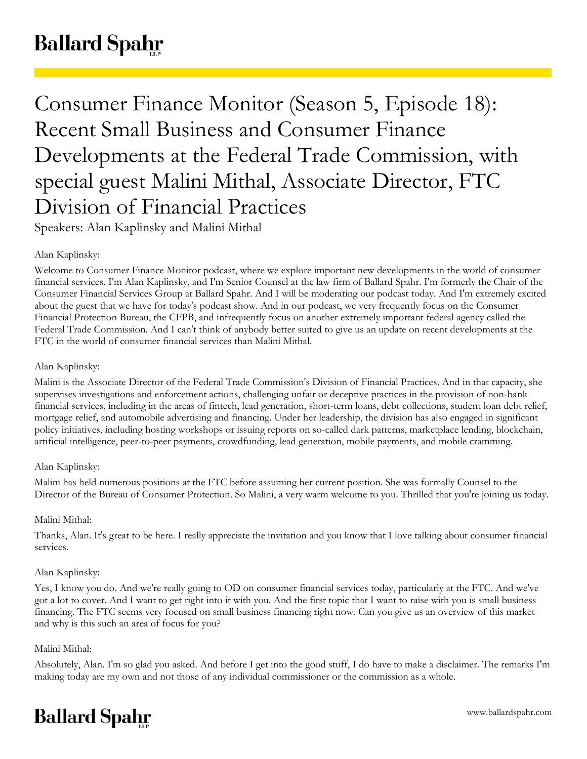# **Ballard Spahr**

Consumer Finance Monitor (Season 5, Episode 18): Recent Small Business and Consumer Finance Developments at the Federal Trade Commission, with special guest Malini Mithal, Associate Director, FTC Division of Financial Practices Speakers: Alan Kaplinsky and Malini Mithal

# Alan Kaplinsky:

Welcome to Consumer Finance Monitor podcast, where we explore important new developments in the world of consumer financial services. I'm Alan Kaplinsky, and I'm Senior Counsel at the law firm of Ballard Spahr. I'm formerly the Chair of the Consumer Financial Services Group at Ballard Spahr. And I will be moderating our podcast today. And I'm extremely excited about the guest that we have for today's podcast show. And in our podcast, we very frequently focus on the Consumer Financial Protection Bureau, the CFPB, and infrequently focus on another extremely important federal agency called the Federal Trade Commission. And I can't think of anybody better suited to give us an update on recent developments at the FTC in the world of consumer financial services than Malini Mithal.

# Alan Kaplinsky:

Malini is the Associate Director of the Federal Trade Commission's Division of Financial Practices. And in that capacity, she supervises investigations and enforcement actions, challenging unfair or deceptive practices in the provision of non-bank financial services, including in the areas of fintech, lead generation, short-term loans, debt collections, student loan debt relief, mortgage relief, and automobile advertising and financing. Under her leadership, the division has also engaged in significant policy initiatives, including hosting workshops or issuing reports on so-called dark patterns, marketplace lending, blockchain, artificial intelligence, peer-to-peer payments, crowdfunding, lead generation, mobile payments, and mobile cramming.

# Alan Kaplinsky:

Malini has held numerous positions at the FTC before assuming her current position. She was formally Counsel to the Director of the Bureau of Consumer Protection. So Malini, a very warm welcome to you. Thrilled that you're joining us today.

# Malini Mithal:

Thanks, Alan. It's great to be here. I really appreciate the invitation and you know that I love talking about consumer financial services.

## Alan Kaplinsky:

Yes, I know you do. And we're really going to OD on consumer financial services today, particularly at the FTC. And we've got a lot to cover. And I want to get right into it with you. And the first topic that I want to raise with you is small business financing. The FTC seems very focused on small business financing right now. Can you give us an overview of this market and why is this such an area of focus for you?

## Malini Mithal:

Absolutely, Alan. I'm so glad you asked. And before I get into the good stuff, I do have to make a disclaimer. The remarks I'm making today are my own and not those of any individual commissioner or the commission as a whole.

# **Ballard Spahr**

www.ballardspahr.com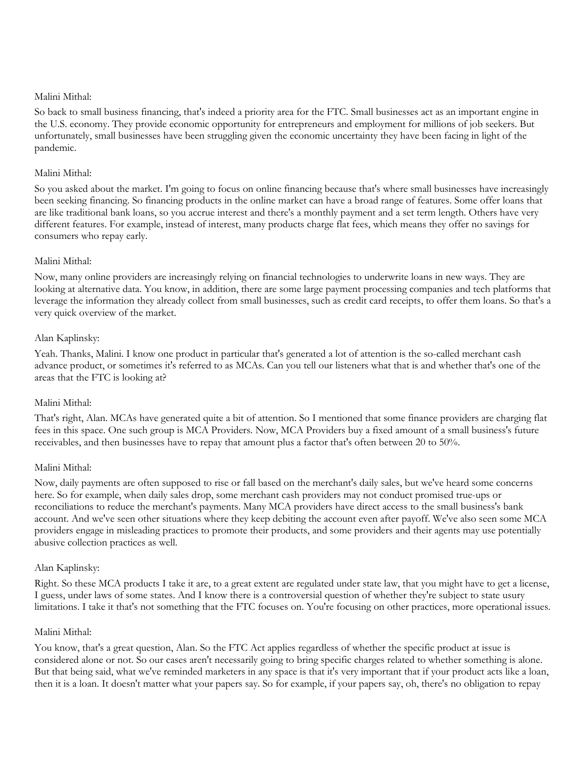So back to small business financing, that's indeed a priority area for the FTC. Small businesses act as an important engine in the U.S. economy. They provide economic opportunity for entrepreneurs and employment for millions of job seekers. But unfortunately, small businesses have been struggling given the economic uncertainty they have been facing in light of the pandemic.

## Malini Mithal:

So you asked about the market. I'm going to focus on online financing because that's where small businesses have increasingly been seeking financing. So financing products in the online market can have a broad range of features. Some offer loans that are like traditional bank loans, so you accrue interest and there's a monthly payment and a set term length. Others have very different features. For example, instead of interest, many products charge flat fees, which means they offer no savings for consumers who repay early.

## Malini Mithal:

Now, many online providers are increasingly relying on financial technologies to underwrite loans in new ways. They are looking at alternative data. You know, in addition, there are some large payment processing companies and tech platforms that leverage the information they already collect from small businesses, such as credit card receipts, to offer them loans. So that's a very quick overview of the market.

#### Alan Kaplinsky:

Yeah. Thanks, Malini. I know one product in particular that's generated a lot of attention is the so-called merchant cash advance product, or sometimes it's referred to as MCAs. Can you tell our listeners what that is and whether that's one of the areas that the FTC is looking at?

#### Malini Mithal:

That's right, Alan. MCAs have generated quite a bit of attention. So I mentioned that some finance providers are charging flat fees in this space. One such group is MCA Providers. Now, MCA Providers buy a fixed amount of a small business's future receivables, and then businesses have to repay that amount plus a factor that's often between 20 to 50%.

#### Malini Mithal:

Now, daily payments are often supposed to rise or fall based on the merchant's daily sales, but we've heard some concerns here. So for example, when daily sales drop, some merchant cash providers may not conduct promised true-ups or reconciliations to reduce the merchant's payments. Many MCA providers have direct access to the small business's bank account. And we've seen other situations where they keep debiting the account even after payoff. We've also seen some MCA providers engage in misleading practices to promote their products, and some providers and their agents may use potentially abusive collection practices as well.

#### Alan Kaplinsky:

Right. So these MCA products I take it are, to a great extent are regulated under state law, that you might have to get a license, I guess, under laws of some states. And I know there is a controversial question of whether they're subject to state usury limitations. I take it that's not something that the FTC focuses on. You're focusing on other practices, more operational issues.

#### Malini Mithal:

You know, that's a great question, Alan. So the FTC Act applies regardless of whether the specific product at issue is considered alone or not. So our cases aren't necessarily going to bring specific charges related to whether something is alone. But that being said, what we've reminded marketers in any space is that it's very important that if your product acts like a loan, then it is a loan. It doesn't matter what your papers say. So for example, if your papers say, oh, there's no obligation to repay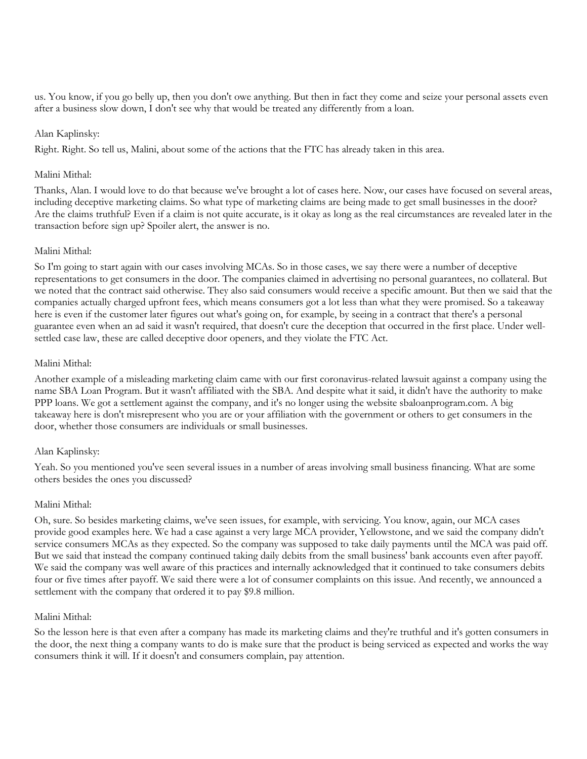us. You know, if you go belly up, then you don't owe anything. But then in fact they come and seize your personal assets even after a business slow down, I don't see why that would be treated any differently from a loan.

#### Alan Kaplinsky:

Right. Right. So tell us, Malini, about some of the actions that the FTC has already taken in this area.

#### Malini Mithal:

Thanks, Alan. I would love to do that because we've brought a lot of cases here. Now, our cases have focused on several areas, including deceptive marketing claims. So what type of marketing claims are being made to get small businesses in the door? Are the claims truthful? Even if a claim is not quite accurate, is it okay as long as the real circumstances are revealed later in the transaction before sign up? Spoiler alert, the answer is no.

#### Malini Mithal:

So I'm going to start again with our cases involving MCAs. So in those cases, we say there were a number of deceptive representations to get consumers in the door. The companies claimed in advertising no personal guarantees, no collateral. But we noted that the contract said otherwise. They also said consumers would receive a specific amount. But then we said that the companies actually charged upfront fees, which means consumers got a lot less than what they were promised. So a takeaway here is even if the customer later figures out what's going on, for example, by seeing in a contract that there's a personal guarantee even when an ad said it wasn't required, that doesn't cure the deception that occurred in the first place. Under wellsettled case law, these are called deceptive door openers, and they violate the FTC Act.

#### Malini Mithal:

Another example of a misleading marketing claim came with our first coronavirus-related lawsuit against a company using the name SBA Loan Program. But it wasn't affiliated with the SBA. And despite what it said, it didn't have the authority to make PPP loans. We got a settlement against the company, and it's no longer using the website sbaloanprogram.com. A big takeaway here is don't misrepresent who you are or your affiliation with the government or others to get consumers in the door, whether those consumers are individuals or small businesses.

## Alan Kaplinsky:

Yeah. So you mentioned you've seen several issues in a number of areas involving small business financing. What are some others besides the ones you discussed?

#### Malini Mithal:

Oh, sure. So besides marketing claims, we've seen issues, for example, with servicing. You know, again, our MCA cases provide good examples here. We had a case against a very large MCA provider, Yellowstone, and we said the company didn't service consumers MCAs as they expected. So the company was supposed to take daily payments until the MCA was paid off. But we said that instead the company continued taking daily debits from the small business' bank accounts even after payoff. We said the company was well aware of this practices and internally acknowledged that it continued to take consumers debits four or five times after payoff. We said there were a lot of consumer complaints on this issue. And recently, we announced a settlement with the company that ordered it to pay \$9.8 million.

#### Malini Mithal:

So the lesson here is that even after a company has made its marketing claims and they're truthful and it's gotten consumers in the door, the next thing a company wants to do is make sure that the product is being serviced as expected and works the way consumers think it will. If it doesn't and consumers complain, pay attention.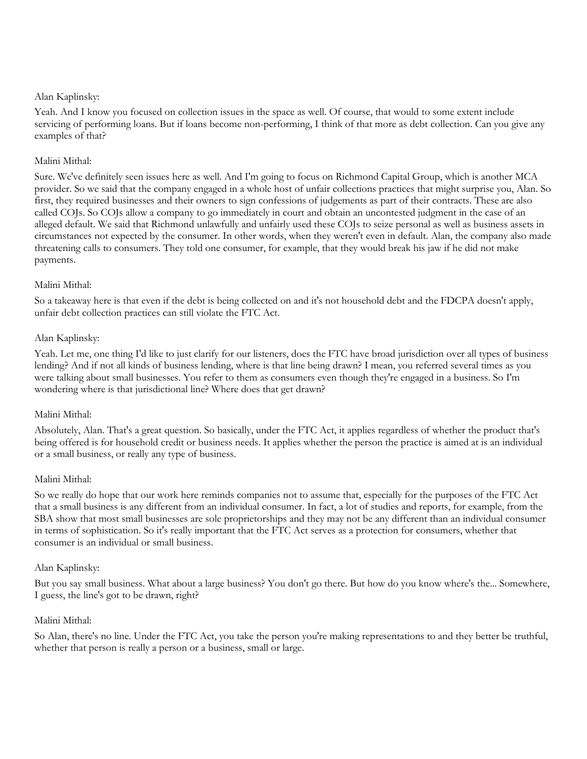Yeah. And I know you focused on collection issues in the space as well. Of course, that would to some extent include servicing of performing loans. But if loans become non-performing, I think of that more as debt collection. Can you give any examples of that?

## Malini Mithal:

Sure. We've definitely seen issues here as well. And I'm going to focus on Richmond Capital Group, which is another MCA provider. So we said that the company engaged in a whole host of unfair collections practices that might surprise you, Alan. So first, they required businesses and their owners to sign confessions of judgements as part of their contracts. These are also called COJs. So COJs allow a company to go immediately in court and obtain an uncontested judgment in the case of an alleged default. We said that Richmond unlawfully and unfairly used these COJs to seize personal as well as business assets in circumstances not expected by the consumer. In other words, when they weren't even in default. Alan, the company also made threatening calls to consumers. They told one consumer, for example, that they would break his jaw if he did not make payments.

#### Malini Mithal:

So a takeaway here is that even if the debt is being collected on and it's not household debt and the FDCPA doesn't apply, unfair debt collection practices can still violate the FTC Act.

#### Alan Kaplinsky:

Yeah. Let me, one thing I'd like to just clarify for our listeners, does the FTC have broad jurisdiction over all types of business lending? And if not all kinds of business lending, where is that line being drawn? I mean, you referred several times as you were talking about small businesses. You refer to them as consumers even though they're engaged in a business. So I'm wondering where is that jurisdictional line? Where does that get drawn?

#### Malini Mithal:

Absolutely, Alan. That's a great question. So basically, under the FTC Act, it applies regardless of whether the product that's being offered is for household credit or business needs. It applies whether the person the practice is aimed at is an individual or a small business, or really any type of business.

#### Malini Mithal:

So we really do hope that our work here reminds companies not to assume that, especially for the purposes of the FTC Act that a small business is any different from an individual consumer. In fact, a lot of studies and reports, for example, from the SBA show that most small businesses are sole proprietorships and they may not be any different than an individual consumer in terms of sophistication. So it's really important that the FTC Act serves as a protection for consumers, whether that consumer is an individual or small business.

#### Alan Kaplinsky:

But you say small business. What about a large business? You don't go there. But how do you know where's the... Somewhere, I guess, the line's got to be drawn, right?

#### Malini Mithal:

So Alan, there's no line. Under the FTC Act, you take the person you're making representations to and they better be truthful, whether that person is really a person or a business, small or large.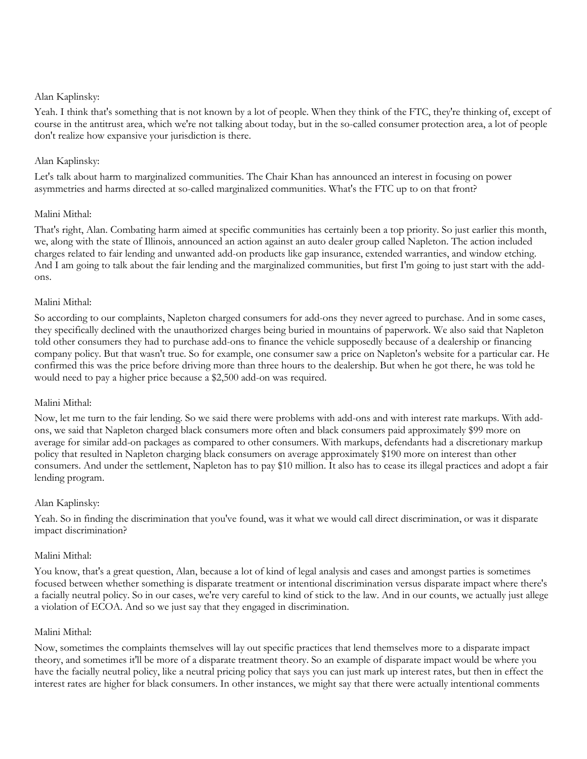Yeah. I think that's something that is not known by a lot of people. When they think of the FTC, they're thinking of, except of course in the antitrust area, which we're not talking about today, but in the so-called consumer protection area, a lot of people don't realize how expansive your jurisdiction is there.

## Alan Kaplinsky:

Let's talk about harm to marginalized communities. The Chair Khan has announced an interest in focusing on power asymmetries and harms directed at so-called marginalized communities. What's the FTC up to on that front?

## Malini Mithal:

That's right, Alan. Combating harm aimed at specific communities has certainly been a top priority. So just earlier this month, we, along with the state of Illinois, announced an action against an auto dealer group called Napleton. The action included charges related to fair lending and unwanted add-on products like gap insurance, extended warranties, and window etching. And I am going to talk about the fair lending and the marginalized communities, but first I'm going to just start with the addons.

#### Malini Mithal:

So according to our complaints, Napleton charged consumers for add-ons they never agreed to purchase. And in some cases, they specifically declined with the unauthorized charges being buried in mountains of paperwork. We also said that Napleton told other consumers they had to purchase add-ons to finance the vehicle supposedly because of a dealership or financing company policy. But that wasn't true. So for example, one consumer saw a price on Napleton's website for a particular car. He confirmed this was the price before driving more than three hours to the dealership. But when he got there, he was told he would need to pay a higher price because a \$2,500 add-on was required.

## Malini Mithal:

Now, let me turn to the fair lending. So we said there were problems with add-ons and with interest rate markups. With addons, we said that Napleton charged black consumers more often and black consumers paid approximately \$99 more on average for similar add-on packages as compared to other consumers. With markups, defendants had a discretionary markup policy that resulted in Napleton charging black consumers on average approximately \$190 more on interest than other consumers. And under the settlement, Napleton has to pay \$10 million. It also has to cease its illegal practices and adopt a fair lending program.

## Alan Kaplinsky:

Yeah. So in finding the discrimination that you've found, was it what we would call direct discrimination, or was it disparate impact discrimination?

#### Malini Mithal:

You know, that's a great question, Alan, because a lot of kind of legal analysis and cases and amongst parties is sometimes focused between whether something is disparate treatment or intentional discrimination versus disparate impact where there's a facially neutral policy. So in our cases, we're very careful to kind of stick to the law. And in our counts, we actually just allege a violation of ECOA. And so we just say that they engaged in discrimination.

#### Malini Mithal:

Now, sometimes the complaints themselves will lay out specific practices that lend themselves more to a disparate impact theory, and sometimes it'll be more of a disparate treatment theory. So an example of disparate impact would be where you have the facially neutral policy, like a neutral pricing policy that says you can just mark up interest rates, but then in effect the interest rates are higher for black consumers. In other instances, we might say that there were actually intentional comments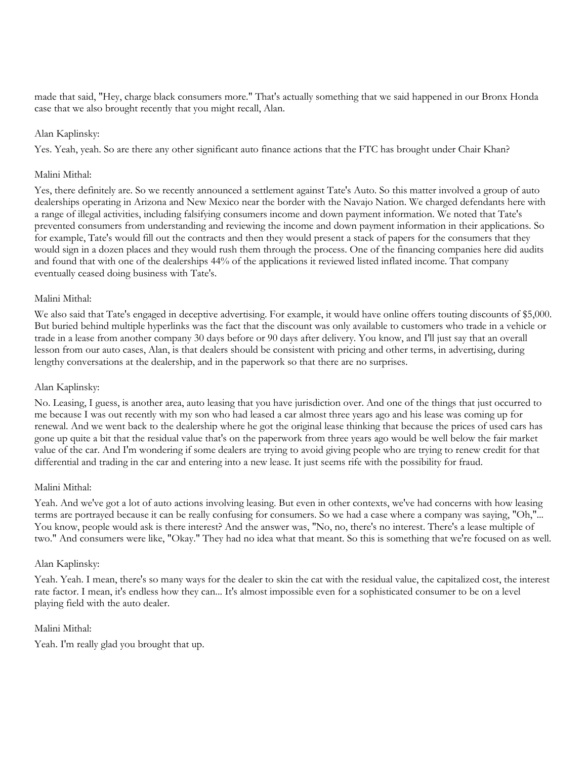made that said, "Hey, charge black consumers more." That's actually something that we said happened in our Bronx Honda case that we also brought recently that you might recall, Alan.

#### Alan Kaplinsky:

Yes. Yeah, yeah. So are there any other significant auto finance actions that the FTC has brought under Chair Khan?

#### Malini Mithal:

Yes, there definitely are. So we recently announced a settlement against Tate's Auto. So this matter involved a group of auto dealerships operating in Arizona and New Mexico near the border with the Navajo Nation. We charged defendants here with a range of illegal activities, including falsifying consumers income and down payment information. We noted that Tate's prevented consumers from understanding and reviewing the income and down payment information in their applications. So for example, Tate's would fill out the contracts and then they would present a stack of papers for the consumers that they would sign in a dozen places and they would rush them through the process. One of the financing companies here did audits and found that with one of the dealerships 44% of the applications it reviewed listed inflated income. That company eventually ceased doing business with Tate's.

## Malini Mithal:

We also said that Tate's engaged in deceptive advertising. For example, it would have online offers touting discounts of \$5,000. But buried behind multiple hyperlinks was the fact that the discount was only available to customers who trade in a vehicle or trade in a lease from another company 30 days before or 90 days after delivery. You know, and I'll just say that an overall lesson from our auto cases, Alan, is that dealers should be consistent with pricing and other terms, in advertising, during lengthy conversations at the dealership, and in the paperwork so that there are no surprises.

## Alan Kaplinsky:

No. Leasing, I guess, is another area, auto leasing that you have jurisdiction over. And one of the things that just occurred to me because I was out recently with my son who had leased a car almost three years ago and his lease was coming up for renewal. And we went back to the dealership where he got the original lease thinking that because the prices of used cars has gone up quite a bit that the residual value that's on the paperwork from three years ago would be well below the fair market value of the car. And I'm wondering if some dealers are trying to avoid giving people who are trying to renew credit for that differential and trading in the car and entering into a new lease. It just seems rife with the possibility for fraud.

#### Malini Mithal:

Yeah. And we've got a lot of auto actions involving leasing. But even in other contexts, we've had concerns with how leasing terms are portrayed because it can be really confusing for consumers. So we had a case where a company was saying, "Oh,"... You know, people would ask is there interest? And the answer was, "No, no, there's no interest. There's a lease multiple of two." And consumers were like, "Okay." They had no idea what that meant. So this is something that we're focused on as well.

#### Alan Kaplinsky:

Yeah. Yeah. I mean, there's so many ways for the dealer to skin the cat with the residual value, the capitalized cost, the interest rate factor. I mean, it's endless how they can... It's almost impossible even for a sophisticated consumer to be on a level playing field with the auto dealer.

#### Malini Mithal:

Yeah. I'm really glad you brought that up.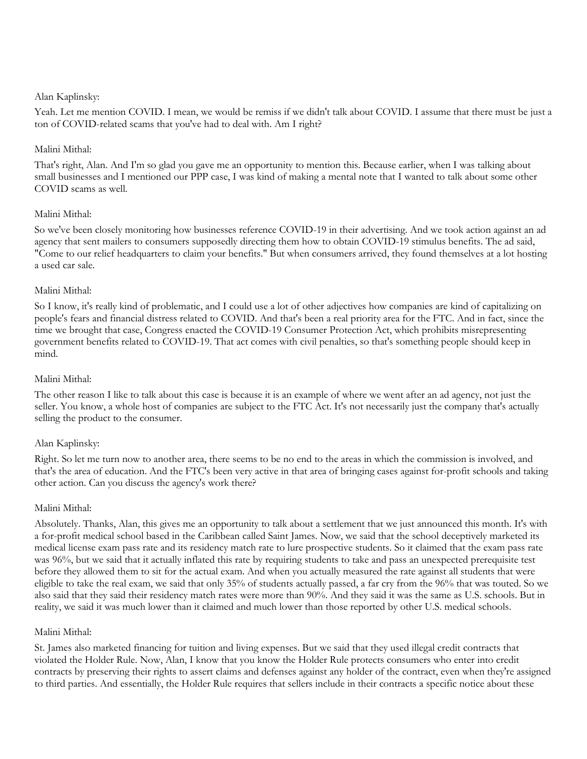Yeah. Let me mention COVID. I mean, we would be remiss if we didn't talk about COVID. I assume that there must be just a ton of COVID-related scams that you've had to deal with. Am I right?

## Malini Mithal:

That's right, Alan. And I'm so glad you gave me an opportunity to mention this. Because earlier, when I was talking about small businesses and I mentioned our PPP case, I was kind of making a mental note that I wanted to talk about some other COVID scams as well.

#### Malini Mithal:

So we've been closely monitoring how businesses reference COVID-19 in their advertising. And we took action against an ad agency that sent mailers to consumers supposedly directing them how to obtain COVID-19 stimulus benefits. The ad said, "Come to our relief headquarters to claim your benefits." But when consumers arrived, they found themselves at a lot hosting a used car sale.

#### Malini Mithal:

So I know, it's really kind of problematic, and I could use a lot of other adjectives how companies are kind of capitalizing on people's fears and financial distress related to COVID. And that's been a real priority area for the FTC. And in fact, since the time we brought that case, Congress enacted the COVID-19 Consumer Protection Act, which prohibits misrepresenting government benefits related to COVID-19. That act comes with civil penalties, so that's something people should keep in mind.

#### Malini Mithal:

The other reason I like to talk about this case is because it is an example of where we went after an ad agency, not just the seller. You know, a whole host of companies are subject to the FTC Act. It's not necessarily just the company that's actually selling the product to the consumer.

## Alan Kaplinsky:

Right. So let me turn now to another area, there seems to be no end to the areas in which the commission is involved, and that's the area of education. And the FTC's been very active in that area of bringing cases against for-profit schools and taking other action. Can you discuss the agency's work there?

## Malini Mithal:

Absolutely. Thanks, Alan, this gives me an opportunity to talk about a settlement that we just announced this month. It's with a for-profit medical school based in the Caribbean called Saint James. Now, we said that the school deceptively marketed its medical license exam pass rate and its residency match rate to lure prospective students. So it claimed that the exam pass rate was 96%, but we said that it actually inflated this rate by requiring students to take and pass an unexpected prerequisite test before they allowed them to sit for the actual exam. And when you actually measured the rate against all students that were eligible to take the real exam, we said that only 35% of students actually passed, a far cry from the 96% that was touted. So we also said that they said their residency match rates were more than 90%. And they said it was the same as U.S. schools. But in reality, we said it was much lower than it claimed and much lower than those reported by other U.S. medical schools.

#### Malini Mithal:

St. James also marketed financing for tuition and living expenses. But we said that they used illegal credit contracts that violated the Holder Rule. Now, Alan, I know that you know the Holder Rule protects consumers who enter into credit contracts by preserving their rights to assert claims and defenses against any holder of the contract, even when they're assigned to third parties. And essentially, the Holder Rule requires that sellers include in their contracts a specific notice about these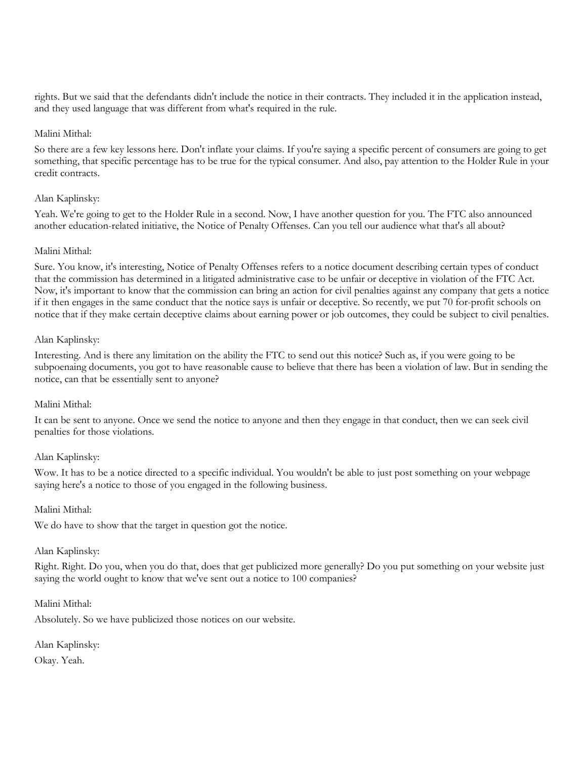rights. But we said that the defendants didn't include the notice in their contracts. They included it in the application instead, and they used language that was different from what's required in the rule.

#### Malini Mithal:

So there are a few key lessons here. Don't inflate your claims. If you're saying a specific percent of consumers are going to get something, that specific percentage has to be true for the typical consumer. And also, pay attention to the Holder Rule in your credit contracts.

#### Alan Kaplinsky:

Yeah. We're going to get to the Holder Rule in a second. Now, I have another question for you. The FTC also announced another education-related initiative, the Notice of Penalty Offenses. Can you tell our audience what that's all about?

#### Malini Mithal:

Sure. You know, it's interesting, Notice of Penalty Offenses refers to a notice document describing certain types of conduct that the commission has determined in a litigated administrative case to be unfair or deceptive in violation of the FTC Act. Now, it's important to know that the commission can bring an action for civil penalties against any company that gets a notice if it then engages in the same conduct that the notice says is unfair or deceptive. So recently, we put 70 for-profit schools on notice that if they make certain deceptive claims about earning power or job outcomes, they could be subject to civil penalties.

#### Alan Kaplinsky:

Interesting. And is there any limitation on the ability the FTC to send out this notice? Such as, if you were going to be subpoenaing documents, you got to have reasonable cause to believe that there has been a violation of law. But in sending the notice, can that be essentially sent to anyone?

#### Malini Mithal:

It can be sent to anyone. Once we send the notice to anyone and then they engage in that conduct, then we can seek civil penalties for those violations.

#### Alan Kaplinsky:

Wow. It has to be a notice directed to a specific individual. You wouldn't be able to just post something on your webpage saying here's a notice to those of you engaged in the following business.

## Malini Mithal:

We do have to show that the target in question got the notice.

#### Alan Kaplinsky:

Right. Right. Do you, when you do that, does that get publicized more generally? Do you put something on your website just saying the world ought to know that we've sent out a notice to 100 companies?

#### Malini Mithal:

Absolutely. So we have publicized those notices on our website.

Alan Kaplinsky: Okay. Yeah.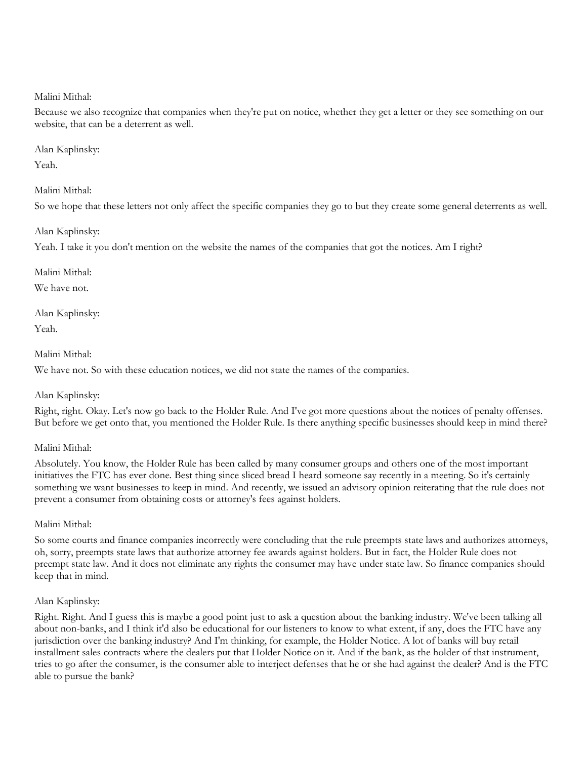Because we also recognize that companies when they're put on notice, whether they get a letter or they see something on our website, that can be a deterrent as well.

#### Alan Kaplinsky:

Yeah.

## Malini Mithal:

So we hope that these letters not only affect the specific companies they go to but they create some general deterrents as well.

## Alan Kaplinsky:

Yeah. I take it you don't mention on the website the names of the companies that got the notices. Am I right?

Malini Mithal:

We have not.

Alan Kaplinsky:

Yeah.

## Malini Mithal:

We have not. So with these education notices, we did not state the names of the companies.

## Alan Kaplinsky:

Right, right. Okay. Let's now go back to the Holder Rule. And I've got more questions about the notices of penalty offenses. But before we get onto that, you mentioned the Holder Rule. Is there anything specific businesses should keep in mind there?

# Malini Mithal:

Absolutely. You know, the Holder Rule has been called by many consumer groups and others one of the most important initiatives the FTC has ever done. Best thing since sliced bread I heard someone say recently in a meeting. So it's certainly something we want businesses to keep in mind. And recently, we issued an advisory opinion reiterating that the rule does not prevent a consumer from obtaining costs or attorney's fees against holders.

## Malini Mithal:

So some courts and finance companies incorrectly were concluding that the rule preempts state laws and authorizes attorneys, oh, sorry, preempts state laws that authorize attorney fee awards against holders. But in fact, the Holder Rule does not preempt state law. And it does not eliminate any rights the consumer may have under state law. So finance companies should keep that in mind.

# Alan Kaplinsky:

Right. Right. And I guess this is maybe a good point just to ask a question about the banking industry. We've been talking all about non-banks, and I think it'd also be educational for our listeners to know to what extent, if any, does the FTC have any jurisdiction over the banking industry? And I'm thinking, for example, the Holder Notice. A lot of banks will buy retail installment sales contracts where the dealers put that Holder Notice on it. And if the bank, as the holder of that instrument, tries to go after the consumer, is the consumer able to interject defenses that he or she had against the dealer? And is the FTC able to pursue the bank?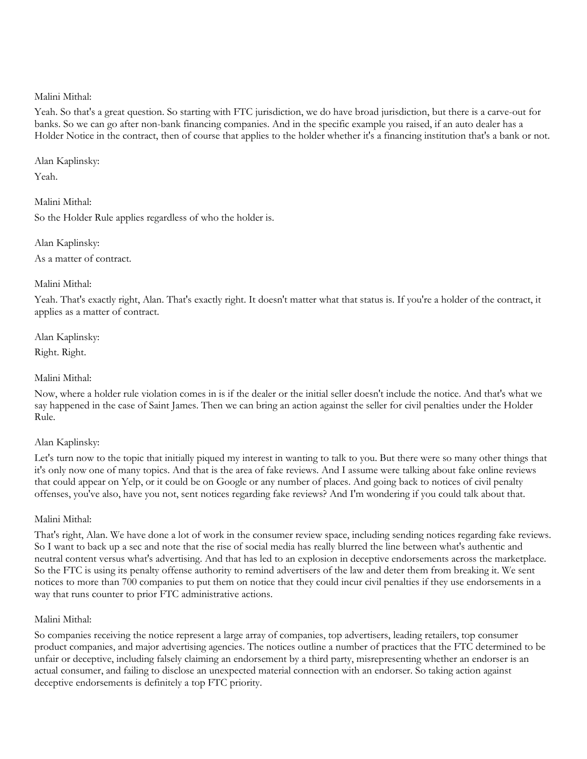Yeah. So that's a great question. So starting with FTC jurisdiction, we do have broad jurisdiction, but there is a carve-out for banks. So we can go after non-bank financing companies. And in the specific example you raised, if an auto dealer has a Holder Notice in the contract, then of course that applies to the holder whether it's a financing institution that's a bank or not.

Alan Kaplinsky: Yeah.

Malini Mithal: So the Holder Rule applies regardless of who the holder is.

Alan Kaplinsky: As a matter of contract.

Malini Mithal:

Yeah. That's exactly right, Alan. That's exactly right. It doesn't matter what that status is. If you're a holder of the contract, it applies as a matter of contract.

Alan Kaplinsky:

Right. Right.

Malini Mithal:

Now, where a holder rule violation comes in is if the dealer or the initial seller doesn't include the notice. And that's what we say happened in the case of Saint James. Then we can bring an action against the seller for civil penalties under the Holder Rule.

## Alan Kaplinsky:

Let's turn now to the topic that initially piqued my interest in wanting to talk to you. But there were so many other things that it's only now one of many topics. And that is the area of fake reviews. And I assume were talking about fake online reviews that could appear on Yelp, or it could be on Google or any number of places. And going back to notices of civil penalty offenses, you've also, have you not, sent notices regarding fake reviews? And I'm wondering if you could talk about that.

Malini Mithal:

That's right, Alan. We have done a lot of work in the consumer review space, including sending notices regarding fake reviews. So I want to back up a sec and note that the rise of social media has really blurred the line between what's authentic and neutral content versus what's advertising. And that has led to an explosion in deceptive endorsements across the marketplace. So the FTC is using its penalty offense authority to remind advertisers of the law and deter them from breaking it. We sent notices to more than 700 companies to put them on notice that they could incur civil penalties if they use endorsements in a way that runs counter to prior FTC administrative actions.

## Malini Mithal:

So companies receiving the notice represent a large array of companies, top advertisers, leading retailers, top consumer product companies, and major advertising agencies. The notices outline a number of practices that the FTC determined to be unfair or deceptive, including falsely claiming an endorsement by a third party, misrepresenting whether an endorser is an actual consumer, and failing to disclose an unexpected material connection with an endorser. So taking action against deceptive endorsements is definitely a top FTC priority.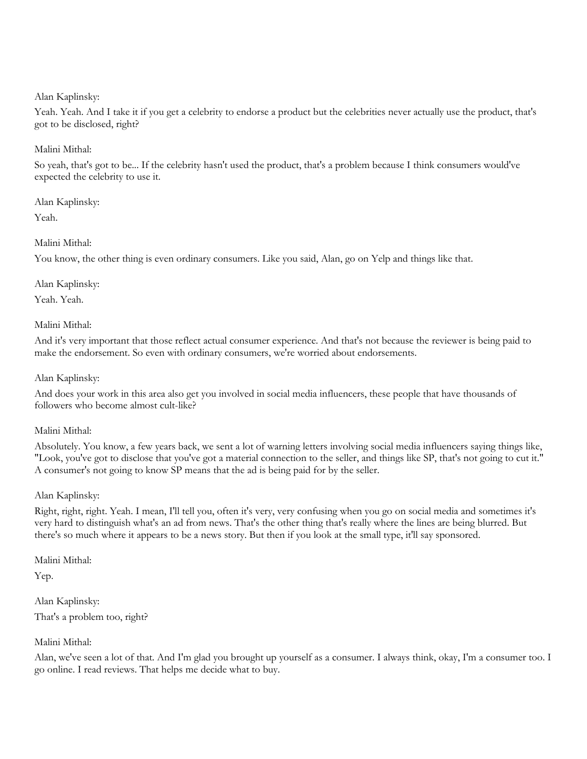Yeah. Yeah. And I take it if you get a celebrity to endorse a product but the celebrities never actually use the product, that's got to be disclosed, right?

## Malini Mithal:

So yeah, that's got to be... If the celebrity hasn't used the product, that's a problem because I think consumers would've expected the celebrity to use it.

Alan Kaplinsky:

Yeah.

## Malini Mithal:

You know, the other thing is even ordinary consumers. Like you said, Alan, go on Yelp and things like that.

Alan Kaplinsky:

Yeah. Yeah.

#### Malini Mithal:

And it's very important that those reflect actual consumer experience. And that's not because the reviewer is being paid to make the endorsement. So even with ordinary consumers, we're worried about endorsements.

Alan Kaplinsky:

And does your work in this area also get you involved in social media influencers, these people that have thousands of followers who become almost cult-like?

Malini Mithal:

Absolutely. You know, a few years back, we sent a lot of warning letters involving social media influencers saying things like, "Look, you've got to disclose that you've got a material connection to the seller, and things like SP, that's not going to cut it." A consumer's not going to know SP means that the ad is being paid for by the seller.

## Alan Kaplinsky:

Right, right, right. Yeah. I mean, I'll tell you, often it's very, very confusing when you go on social media and sometimes it's very hard to distinguish what's an ad from news. That's the other thing that's really where the lines are being blurred. But there's so much where it appears to be a news story. But then if you look at the small type, it'll say sponsored.

Malini Mithal:

Yep.

Alan Kaplinsky: That's a problem too, right?

## Malini Mithal:

Alan, we've seen a lot of that. And I'm glad you brought up yourself as a consumer. I always think, okay, I'm a consumer too. I go online. I read reviews. That helps me decide what to buy.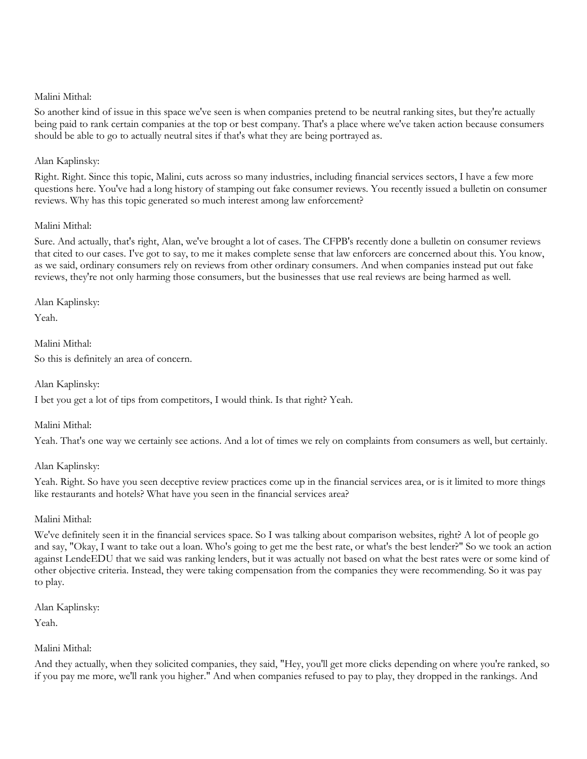So another kind of issue in this space we've seen is when companies pretend to be neutral ranking sites, but they're actually being paid to rank certain companies at the top or best company. That's a place where we've taken action because consumers should be able to go to actually neutral sites if that's what they are being portrayed as.

## Alan Kaplinsky:

Right. Right. Since this topic, Malini, cuts across so many industries, including financial services sectors, I have a few more questions here. You've had a long history of stamping out fake consumer reviews. You recently issued a bulletin on consumer reviews. Why has this topic generated so much interest among law enforcement?

#### Malini Mithal:

Sure. And actually, that's right, Alan, we've brought a lot of cases. The CFPB's recently done a bulletin on consumer reviews that cited to our cases. I've got to say, to me it makes complete sense that law enforcers are concerned about this. You know, as we said, ordinary consumers rely on reviews from other ordinary consumers. And when companies instead put out fake reviews, they're not only harming those consumers, but the businesses that use real reviews are being harmed as well.

#### Alan Kaplinsky:

Yeah.

Malini Mithal: So this is definitely an area of concern.

Alan Kaplinsky:

I bet you get a lot of tips from competitors, I would think. Is that right? Yeah.

Malini Mithal:

Yeah. That's one way we certainly see actions. And a lot of times we rely on complaints from consumers as well, but certainly.

## Alan Kaplinsky:

Yeah. Right. So have you seen deceptive review practices come up in the financial services area, or is it limited to more things like restaurants and hotels? What have you seen in the financial services area?

## Malini Mithal:

We've definitely seen it in the financial services space. So I was talking about comparison websites, right? A lot of people go and say, "Okay, I want to take out a loan. Who's going to get me the best rate, or what's the best lender?" So we took an action against LendeEDU that we said was ranking lenders, but it was actually not based on what the best rates were or some kind of other objective criteria. Instead, they were taking compensation from the companies they were recommending. So it was pay to play.

Alan Kaplinsky: Yeah.

## Malini Mithal:

And they actually, when they solicited companies, they said, "Hey, you'll get more clicks depending on where you're ranked, so if you pay me more, we'll rank you higher." And when companies refused to pay to play, they dropped in the rankings. And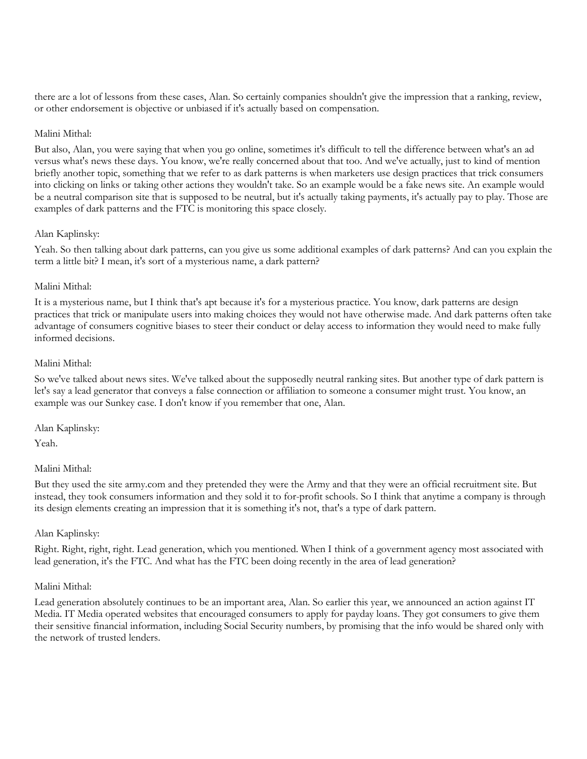there are a lot of lessons from these cases, Alan. So certainly companies shouldn't give the impression that a ranking, review, or other endorsement is objective or unbiased if it's actually based on compensation.

#### Malini Mithal:

But also, Alan, you were saying that when you go online, sometimes it's difficult to tell the difference between what's an ad versus what's news these days. You know, we're really concerned about that too. And we've actually, just to kind of mention briefly another topic, something that we refer to as dark patterns is when marketers use design practices that trick consumers into clicking on links or taking other actions they wouldn't take. So an example would be a fake news site. An example would be a neutral comparison site that is supposed to be neutral, but it's actually taking payments, it's actually pay to play. Those are examples of dark patterns and the FTC is monitoring this space closely.

#### Alan Kaplinsky:

Yeah. So then talking about dark patterns, can you give us some additional examples of dark patterns? And can you explain the term a little bit? I mean, it's sort of a mysterious name, a dark pattern?

#### Malini Mithal:

It is a mysterious name, but I think that's apt because it's for a mysterious practice. You know, dark patterns are design practices that trick or manipulate users into making choices they would not have otherwise made. And dark patterns often take advantage of consumers cognitive biases to steer their conduct or delay access to information they would need to make fully informed decisions.

## Malini Mithal:

So we've talked about news sites. We've talked about the supposedly neutral ranking sites. But another type of dark pattern is let's say a lead generator that conveys a false connection or affiliation to someone a consumer might trust. You know, an example was our Sunkey case. I don't know if you remember that one, Alan.

Alan Kaplinsky:

Yeah.

#### Malini Mithal:

But they used the site army.com and they pretended they were the Army and that they were an official recruitment site. But instead, they took consumers information and they sold it to for-profit schools. So I think that anytime a company is through its design elements creating an impression that it is something it's not, that's a type of dark pattern.

#### Alan Kaplinsky:

Right. Right, right, right. Lead generation, which you mentioned. When I think of a government agency most associated with lead generation, it's the FTC. And what has the FTC been doing recently in the area of lead generation?

#### Malini Mithal:

Lead generation absolutely continues to be an important area, Alan. So earlier this year, we announced an action against IT Media. IT Media operated websites that encouraged consumers to apply for payday loans. They got consumers to give them their sensitive financial information, including Social Security numbers, by promising that the info would be shared only with the network of trusted lenders.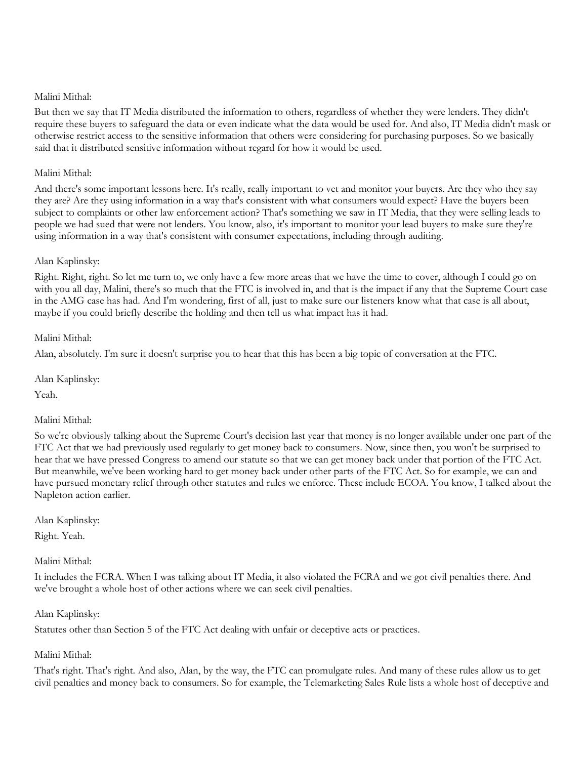But then we say that IT Media distributed the information to others, regardless of whether they were lenders. They didn't require these buyers to safeguard the data or even indicate what the data would be used for. And also, IT Media didn't mask or otherwise restrict access to the sensitive information that others were considering for purchasing purposes. So we basically said that it distributed sensitive information without regard for how it would be used.

## Malini Mithal:

And there's some important lessons here. It's really, really important to vet and monitor your buyers. Are they who they say they are? Are they using information in a way that's consistent with what consumers would expect? Have the buyers been subject to complaints or other law enforcement action? That's something we saw in IT Media, that they were selling leads to people we had sued that were not lenders. You know, also, it's important to monitor your lead buyers to make sure they're using information in a way that's consistent with consumer expectations, including through auditing.

## Alan Kaplinsky:

Right. Right, right. So let me turn to, we only have a few more areas that we have the time to cover, although I could go on with you all day, Malini, there's so much that the FTC is involved in, and that is the impact if any that the Supreme Court case in the AMG case has had. And I'm wondering, first of all, just to make sure our listeners know what that case is all about, maybe if you could briefly describe the holding and then tell us what impact has it had.

#### Malini Mithal:

Alan, absolutely. I'm sure it doesn't surprise you to hear that this has been a big topic of conversation at the FTC.

Alan Kaplinsky:

Yeah.

#### Malini Mithal:

So we're obviously talking about the Supreme Court's decision last year that money is no longer available under one part of the FTC Act that we had previously used regularly to get money back to consumers. Now, since then, you won't be surprised to hear that we have pressed Congress to amend our statute so that we can get money back under that portion of the FTC Act. But meanwhile, we've been working hard to get money back under other parts of the FTC Act. So for example, we can and have pursued monetary relief through other statutes and rules we enforce. These include ECOA. You know, I talked about the Napleton action earlier.

Alan Kaplinsky:

Right. Yeah.

## Malini Mithal:

It includes the FCRA. When I was talking about IT Media, it also violated the FCRA and we got civil penalties there. And we've brought a whole host of other actions where we can seek civil penalties.

## Alan Kaplinsky:

Statutes other than Section 5 of the FTC Act dealing with unfair or deceptive acts or practices.

## Malini Mithal:

That's right. That's right. And also, Alan, by the way, the FTC can promulgate rules. And many of these rules allow us to get civil penalties and money back to consumers. So for example, the Telemarketing Sales Rule lists a whole host of deceptive and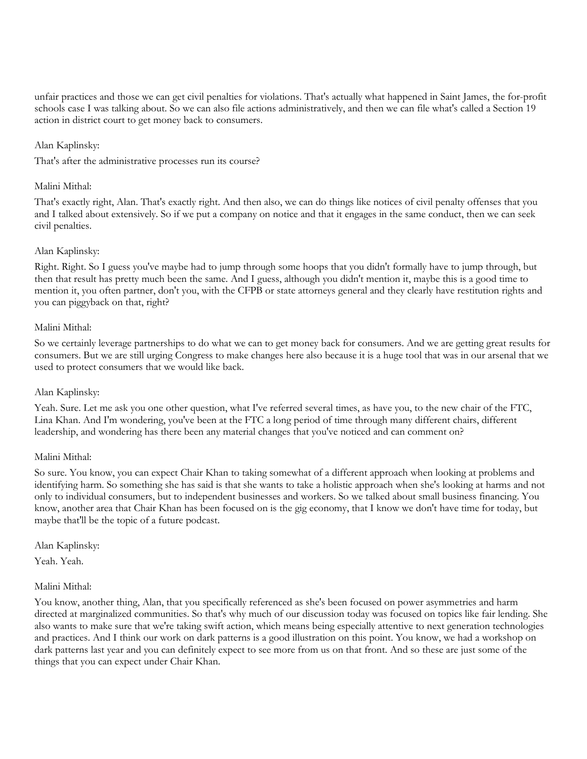unfair practices and those we can get civil penalties for violations. That's actually what happened in Saint James, the for-profit schools case I was talking about. So we can also file actions administratively, and then we can file what's called a Section 19 action in district court to get money back to consumers.

## Alan Kaplinsky:

That's after the administrative processes run its course?

## Malini Mithal:

That's exactly right, Alan. That's exactly right. And then also, we can do things like notices of civil penalty offenses that you and I talked about extensively. So if we put a company on notice and that it engages in the same conduct, then we can seek civil penalties.

#### Alan Kaplinsky:

Right. Right. So I guess you've maybe had to jump through some hoops that you didn't formally have to jump through, but then that result has pretty much been the same. And I guess, although you didn't mention it, maybe this is a good time to mention it, you often partner, don't you, with the CFPB or state attorneys general and they clearly have restitution rights and you can piggyback on that, right?

#### Malini Mithal:

So we certainly leverage partnerships to do what we can to get money back for consumers. And we are getting great results for consumers. But we are still urging Congress to make changes here also because it is a huge tool that was in our arsenal that we used to protect consumers that we would like back.

## Alan Kaplinsky:

Yeah. Sure. Let me ask you one other question, what I've referred several times, as have you, to the new chair of the FTC, Lina Khan. And I'm wondering, you've been at the FTC a long period of time through many different chairs, different leadership, and wondering has there been any material changes that you've noticed and can comment on?

## Malini Mithal:

So sure. You know, you can expect Chair Khan to taking somewhat of a different approach when looking at problems and identifying harm. So something she has said is that she wants to take a holistic approach when she's looking at harms and not only to individual consumers, but to independent businesses and workers. So we talked about small business financing. You know, another area that Chair Khan has been focused on is the gig economy, that I know we don't have time for today, but maybe that'll be the topic of a future podcast.

Alan Kaplinsky:

Yeah. Yeah.

#### Malini Mithal:

You know, another thing, Alan, that you specifically referenced as she's been focused on power asymmetries and harm directed at marginalized communities. So that's why much of our discussion today was focused on topics like fair lending. She also wants to make sure that we're taking swift action, which means being especially attentive to next generation technologies and practices. And I think our work on dark patterns is a good illustration on this point. You know, we had a workshop on dark patterns last year and you can definitely expect to see more from us on that front. And so these are just some of the things that you can expect under Chair Khan.